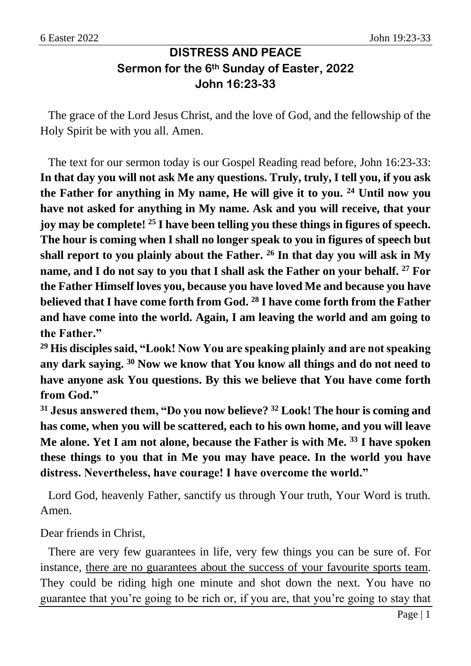## **DISTRESS AND PEACE Sermon for the 6th Sunday of Easter, 2022 John 16:23-33**

The grace of the Lord Jesus Christ, and the love of God, and the fellowship of the Holy Spirit be with you all. Amen.

The text for our sermon today is our Gospel Reading read before, John 16:23-33: **In that day you will not ask Me any questions. Truly, truly, I tell you, if you ask the Father for anything in My name, He will give it to you. <sup>24</sup> Until now you have not asked for anything in My name. Ask and you will receive, that your joy may be complete! <sup>25</sup> I have been telling you these things in figures of speech. The hour is coming when I shall no longer speak to you in figures of speech but shall report to you plainly about the Father. <sup>26</sup> In that day you will ask in My name, and I do not say to you that I shall ask the Father on your behalf. <sup>27</sup> For the Father Himself loves you, because you have loved Me and because you have believed that I have come forth from God. <sup>28</sup> I have come forth from the Father and have come into the world. Again, I am leaving the world and am going to the Father."**

**<sup>29</sup> His disciples said, "Look! Now You are speaking plainly and are not speaking any dark saying. <sup>30</sup> Now we know that You know all things and do not need to have anyone ask You questions. By this we believe that You have come forth from God."**

**<sup>31</sup> Jesus answered them, "Do you now believe? <sup>32</sup> Look! The hour is coming and has come, when you will be scattered, each to his own home, and you will leave Me alone. Yet I am not alone, because the Father is with Me. <sup>33</sup> I have spoken these things to you that in Me you may have peace. In the world you have distress. Nevertheless, have courage! I have overcome the world."**

Lord God, heavenly Father, sanctify us through Your truth, Your Word is truth. Amen.

Dear friends in Christ,

There are very few guarantees in life, very few things you can be sure of. For instance, there are no guarantees about the success of your favourite sports team. They could be riding high one minute and shot down the next. You have no guarantee that you're going to be rich or, if you are, that you're going to stay that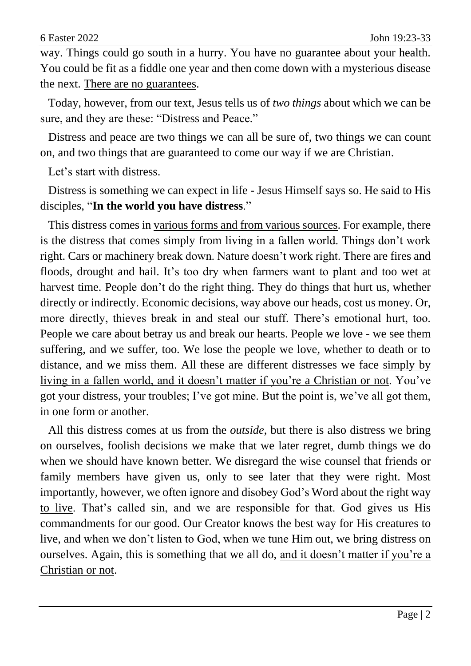way. Things could go south in a hurry. You have no guarantee about your health. You could be fit as a fiddle one year and then come down with a mysterious disease the next. There are no guarantees.

Today, however, from our text, Jesus tells us of *two things* about which we can be sure, and they are these: "Distress and Peace."

Distress and peace are two things we can all be sure of, two things we can count on, and two things that are guaranteed to come our way if we are Christian.

Let's start with distress.

Distress is something we can expect in life - Jesus Himself says so. He said to His disciples, "**In the world you have distress**."

This distress comes in various forms and from various sources. For example, there is the distress that comes simply from living in a fallen world. Things don't work right. Cars or machinery break down. Nature doesn't work right. There are fires and floods, drought and hail. It's too dry when farmers want to plant and too wet at harvest time. People don't do the right thing. They do things that hurt us, whether directly or indirectly. Economic decisions, way above our heads, cost us money. Or, more directly, thieves break in and steal our stuff. There's emotional hurt, too. People we care about betray us and break our hearts. People we love - we see them suffering, and we suffer, too. We lose the people we love, whether to death or to distance, and we miss them. All these are different distresses we face simply by living in a fallen world, and it doesn't matter if you're a Christian or not. You've got your distress, your troubles; I've got mine. But the point is, we've all got them, in one form or another.

All this distress comes at us from the *outside*, but there is also distress we bring on ourselves, foolish decisions we make that we later regret, dumb things we do when we should have known better. We disregard the wise counsel that friends or family members have given us, only to see later that they were right. Most importantly, however, we often ignore and disobey God's Word about the right way to live. That's called sin, and we are responsible for that. God gives us His commandments for our good. Our Creator knows the best way for His creatures to live, and when we don't listen to God, when we tune Him out, we bring distress on ourselves. Again, this is something that we all do, and it doesn't matter if you're a Christian or not.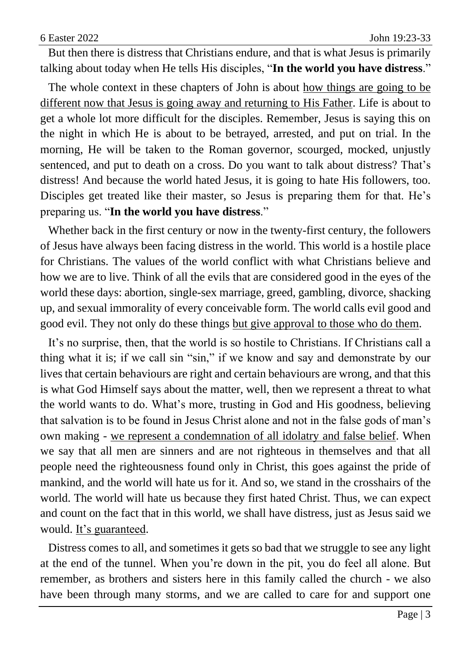But then there is distress that Christians endure, and that is what Jesus is primarily talking about today when He tells His disciples, "**In the world you have distress**."

The whole context in these chapters of John is about how things are going to be different now that Jesus is going away and returning to His Father. Life is about to get a whole lot more difficult for the disciples. Remember, Jesus is saying this on the night in which He is about to be betrayed, arrested, and put on trial. In the morning, He will be taken to the Roman governor, scourged, mocked, unjustly sentenced, and put to death on a cross. Do you want to talk about distress? That's distress! And because the world hated Jesus, it is going to hate His followers, too. Disciples get treated like their master, so Jesus is preparing them for that. He's preparing us. "**In the world you have distress**."

Whether back in the first century or now in the twenty-first century, the followers of Jesus have always been facing distress in the world. This world is a hostile place for Christians. The values of the world conflict with what Christians believe and how we are to live. Think of all the evils that are considered good in the eyes of the world these days: abortion, single-sex marriage, greed, gambling, divorce, shacking up, and sexual immorality of every conceivable form. The world calls evil good and good evil. They not only do these things but give approval to those who do them.

It's no surprise, then, that the world is so hostile to Christians. If Christians call a thing what it is; if we call sin "sin," if we know and say and demonstrate by our lives that certain behaviours are right and certain behaviours are wrong, and that this is what God Himself says about the matter, well, then we represent a threat to what the world wants to do. What's more, trusting in God and His goodness, believing that salvation is to be found in Jesus Christ alone and not in the false gods of man's own making - we represent a condemnation of all idolatry and false belief. When we say that all men are sinners and are not righteous in themselves and that all people need the righteousness found only in Christ, this goes against the pride of mankind, and the world will hate us for it. And so, we stand in the crosshairs of the world. The world will hate us because they first hated Christ. Thus, we can expect and count on the fact that in this world, we shall have distress, just as Jesus said we would. It's guaranteed.

Distress comes to all, and sometimes it gets so bad that we struggle to see any light at the end of the tunnel. When you're down in the pit, you do feel all alone. But remember, as brothers and sisters here in this family called the church - we also have been through many storms, and we are called to care for and support one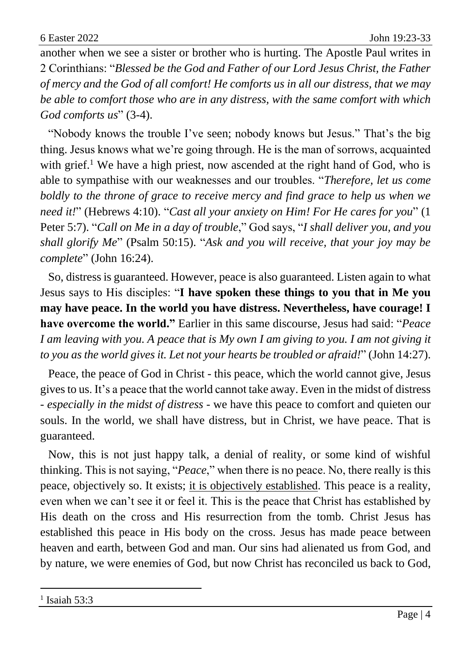another when we see a sister or brother who is hurting. The Apostle Paul writes in 2 Corinthians: "*Blessed be the God and Father of our Lord Jesus Christ, the Father of mercy and the God of all comfort! He comforts us in all our distress, that we may be able to comfort those who are in any distress, with the same comfort with which God comforts us*" (3-4).

"Nobody knows the trouble I've seen; nobody knows but Jesus." That's the big thing. Jesus knows what we're going through. He is the man of sorrows, acquainted with grief.<sup>1</sup> We have a high priest, now ascended at the right hand of God, who is able to sympathise with our weaknesses and our troubles. "*Therefore, let us come boldly to the throne of grace to receive mercy and find grace to help us when we need it!*" (Hebrews 4:10). "*Cast all your anxiety on Him! For He cares for you*" (1 Peter 5:7). "*Call on Me in a day of trouble*," God says, "*I shall deliver you, and you shall glorify Me*" (Psalm 50:15). "*Ask and you will receive, that your joy may be complete*" (John 16:24).

So, distress is guaranteed. However, peace is also guaranteed. Listen again to what Jesus says to His disciples: "**I have spoken these things to you that in Me you may have peace. In the world you have distress. Nevertheless, have courage! I have overcome the world."** Earlier in this same discourse, Jesus had said: "*Peace I am leaving with you. A peace that is My own I am giving to you. I am not giving it to you as the world gives it. Let not your hearts be troubled or afraid!*" (John 14:27).

Peace, the peace of God in Christ - this peace, which the world cannot give, Jesus gives to us. It's a peace that the world cannot take away. Even in the midst of distress - *especially in the midst of distress* - we have this peace to comfort and quieten our souls. In the world, we shall have distress, but in Christ, we have peace. That is guaranteed.

Now, this is not just happy talk, a denial of reality, or some kind of wishful thinking. This is not saying, "*Peace*," when there is no peace. No, there really is this peace, objectively so. It exists; it is objectively established. This peace is a reality, even when we can't see it or feel it. This is the peace that Christ has established by His death on the cross and His resurrection from the tomb. Christ Jesus has established this peace in His body on the cross. Jesus has made peace between heaven and earth, between God and man. Our sins had alienated us from God, and by nature, we were enemies of God, but now Christ has reconciled us back to God,

 $<sup>1</sup>$  Isaiah 53:3</sup>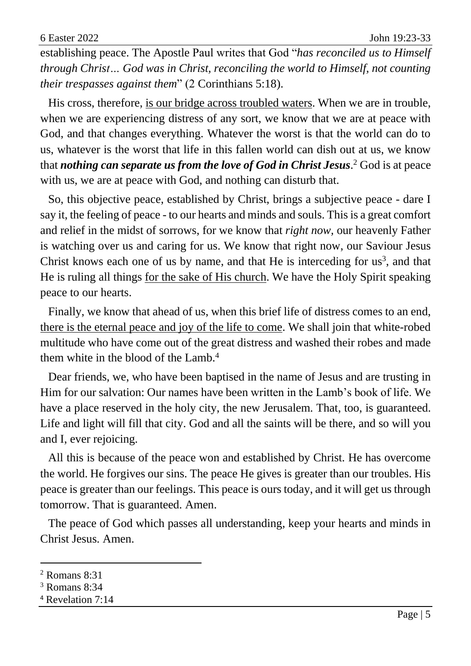establishing peace. The Apostle Paul writes that God "*has reconciled us to Himself through Christ… God was in Christ, reconciling the world to Himself, not counting their trespasses against them*" (2 Corinthians 5:18).

His cross, therefore, is our bridge across troubled waters. When we are in trouble, when we are experiencing distress of any sort, we know that we are at peace with God, and that changes everything. Whatever the worst is that the world can do to us, whatever is the worst that life in this fallen world can dish out at us, we know that *nothing can separate us from the love of God in Christ Jesus*. <sup>2</sup> God is at peace with us, we are at peace with God, and nothing can disturb that.

So, this objective peace, established by Christ, brings a subjective peace - dare I say it, the feeling of peace - to our hearts and minds and souls. This is a great comfort and relief in the midst of sorrows, for we know that *right now,* our heavenly Father is watching over us and caring for us. We know that right now, our Saviour Jesus Christ knows each one of us by name, and that He is interceding for  $us^3$ , and that He is ruling all things for the sake of His church. We have the Holy Spirit speaking peace to our hearts.

Finally, we know that ahead of us, when this brief life of distress comes to an end, there is the eternal peace and joy of the life to come. We shall join that white-robed multitude who have come out of the great distress and washed their robes and made them white in the blood of the Lamb<sup>4</sup>

Dear friends, we, who have been baptised in the name of Jesus and are trusting in Him for our salvation: Our names have been written in the Lamb's book of life. We have a place reserved in the holy city, the new Jerusalem. That, too, is guaranteed. Life and light will fill that city. God and all the saints will be there, and so will you and I, ever rejoicing.

All this is because of the peace won and established by Christ. He has overcome the world. He forgives our sins. The peace He gives is greater than our troubles. His peace is greater than our feelings. This peace is ours today, and it will get us through tomorrow. That is guaranteed. Amen.

The peace of God which passes all understanding, keep your hearts and minds in Christ Jesus. Amen.

<sup>2</sup> Romans 8:31

 $3$  Romans  $8:34$ 

<sup>4</sup> Revelation 7:14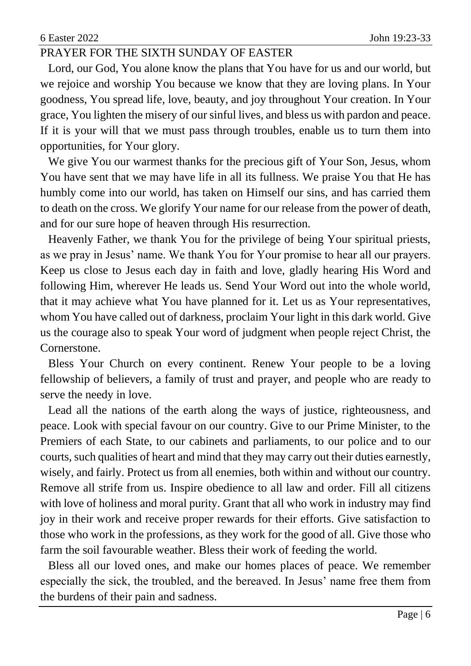## PRAYER FOR THE SIXTH SUNDAY OF EASTER

Lord, our God, You alone know the plans that You have for us and our world, but we rejoice and worship You because we know that they are loving plans. In Your goodness, You spread life, love, beauty, and joy throughout Your creation. In Your grace, You lighten the misery of our sinful lives, and bless us with pardon and peace. If it is your will that we must pass through troubles, enable us to turn them into opportunities, for Your glory.

We give You our warmest thanks for the precious gift of Your Son, Jesus, whom You have sent that we may have life in all its fullness. We praise You that He has humbly come into our world, has taken on Himself our sins, and has carried them to death on the cross. We glorify Your name for our release from the power of death, and for our sure hope of heaven through His resurrection.

Heavenly Father, we thank You for the privilege of being Your spiritual priests, as we pray in Jesus' name. We thank You for Your promise to hear all our prayers. Keep us close to Jesus each day in faith and love, gladly hearing His Word and following Him, wherever He leads us. Send Your Word out into the whole world, that it may achieve what You have planned for it. Let us as Your representatives, whom You have called out of darkness, proclaim Your light in this dark world. Give us the courage also to speak Your word of judgment when people reject Christ, the Cornerstone.

Bless Your Church on every continent. Renew Your people to be a loving fellowship of believers, a family of trust and prayer, and people who are ready to serve the needy in love.

Lead all the nations of the earth along the ways of justice, righteousness, and peace. Look with special favour on our country. Give to our Prime Minister, to the Premiers of each State, to our cabinets and parliaments, to our police and to our courts, such qualities of heart and mind that they may carry out their duties earnestly, wisely, and fairly. Protect us from all enemies, both within and without our country. Remove all strife from us. Inspire obedience to all law and order. Fill all citizens with love of holiness and moral purity. Grant that all who work in industry may find joy in their work and receive proper rewards for their efforts. Give satisfaction to those who work in the professions, as they work for the good of all. Give those who farm the soil favourable weather. Bless their work of feeding the world.

Bless all our loved ones, and make our homes places of peace. We remember especially the sick, the troubled, and the bereaved. In Jesus' name free them from the burdens of their pain and sadness.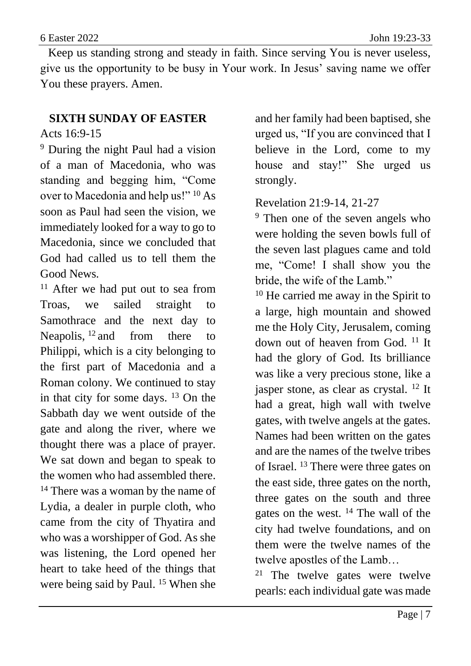Keep us standing strong and steady in faith. Since serving You is never useless, give us the opportunity to be busy in Your work. In Jesus' saving name we offer You these prayers. Amen.

## **SIXTH SUNDAY OF EASTER**

Acts 16:9-15

<sup>9</sup> During the night Paul had a vision of a man of Macedonia, who was standing and begging him, "Come over to Macedonia and help us!" <sup>10</sup> As soon as Paul had seen the vision, we immediately looked for a way to go to Macedonia, since we concluded that God had called us to tell them the Good News.

<sup>11</sup> After we had put out to sea from Troas, we sailed straight to Samothrace and the next day to Neapolis, <sup>12</sup> and from there to Philippi, which is a city belonging to the first part of Macedonia and a Roman colony. We continued to stay in that city for some days. <sup>13</sup> On the Sabbath day we went outside of the gate and along the river, where we thought there was a place of prayer. We sat down and began to speak to the women who had assembled there. <sup>14</sup> There was a woman by the name of Lydia, a dealer in purple cloth, who came from the city of Thyatira and who was a worshipper of God. As she was listening, the Lord opened her heart to take heed of the things that were being said by Paul.<sup>15</sup> When she and her family had been baptised, she urged us, "If you are convinced that I believe in the Lord, come to my house and stay!" She urged us strongly.

Revelation 21:9-14, 21-27

<sup>9</sup> Then one of the seven angels who were holding the seven bowls full of the seven last plagues came and told me, "Come! I shall show you the bride, the wife of the Lamb."

 $10$  He carried me away in the Spirit to a large, high mountain and showed me the Holy City, Jerusalem, coming down out of heaven from God. <sup>11</sup> It had the glory of God. Its brilliance was like a very precious stone, like a jasper stone, as clear as crystal. <sup>12</sup> It had a great, high wall with twelve gates, with twelve angels at the gates. Names had been written on the gates and are the names of the twelve tribes of Israel. <sup>13</sup> There were three gates on the east side, three gates on the north, three gates on the south and three gates on the west. <sup>14</sup> The wall of the city had twelve foundations, and on them were the twelve names of the twelve apostles of the Lamb…

 $21$  The twelve gates were twelve pearls: each individual gate was made